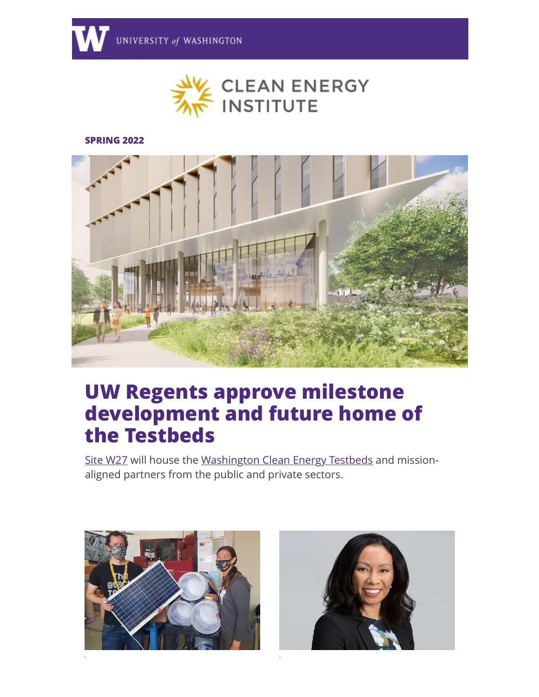

#### **SPRING 2022**



# **UW Regents approve milestone development and future home of the Testbeds**

[Site W27](http://discover.uw.edu/ol/hk9RcMTNdlhd6BYlut2oDfu_yniVKMz84vEwRKa0gplpjQVuYOPLdQyi2YMDScBrI-SNBgsUTsAnxAVcR7DTb44dqrNYAkXvWzTtia_Jfa1bZvp22NQn6qGhhTNc-oTRwhrPAUoNS0J5aVvPPel03Wq1dpU7SxGGpz2Hcw,,/jExXdM3IKVlNoVdlsbPWNb760SLBaZChtbtpBvmo18srlkZ7Zf-AahG92pwBT91jMaaLFk8CFpdkzhhLV-GFbJJP7PAQBki-XSjrj6_fIolLZ7F_09Fs-qaxlWkL59OHhRHcBl0aQXZpKQSccPIjljL0I5ktWE6G6H7AeIgt0TsNhKkQ2pfmfrK562azuhvL5yGxIF52ueyvx0SQOb9Yr85Rpmwu3XEHXMfS5BfTzpMfnT4y_8VSlRdroqlrdMNc4hXQVjWu5bugQN1UW5Kbtrb2itUqN0pmvN0nVWLiAWm0Gb-zXRdr3DaHozQHGj9CHCIJLvcNvymOrDZqTt49QAOTsX0X3Xsy7Llxk6LT4XyYO3bPaTTfphc,) will house the [Washington Clean Energy Testbeds](http://discover.uw.edu/ol/hk5Yd8zNdlhd6BYlut2oDfu_yniVKMz84vEwRKa0gplpjQVuYOPLdQyi2YMDScBrI-SNBgsUTsAnxAVcR7DTb44dqrNYAkXvWzTtia_Jfa1bZvp22NQn6qGhhTNc-oTRwhrPAUoNS0J5aVvMP-l21WmwdpU7SxGGpz2Hcw,,/j05XdsXLLFlNoVdlsbPWNb760TbFc9a_uq91APnhxsAwl016Z6PJOULmhNpFFZchKuqfDAEVB98-zQdMJfSad91tzthFJ3SUag_m0Lj3ZbhvUJVU-MZD66SK4lQdo9ert0THDRtbWSVmUASbMLcxyTzTaJ8WZRqg012VMbELn3Bc1Ipc37ynTpuG_GWV3mDz9hirP2R82-qfxmauX75yuPo4tFBp2GkTTubVxByT9qUxuh8q3aFcpkw8_698BZ98wRSO) and missionaligned partners from the public and private sectors.



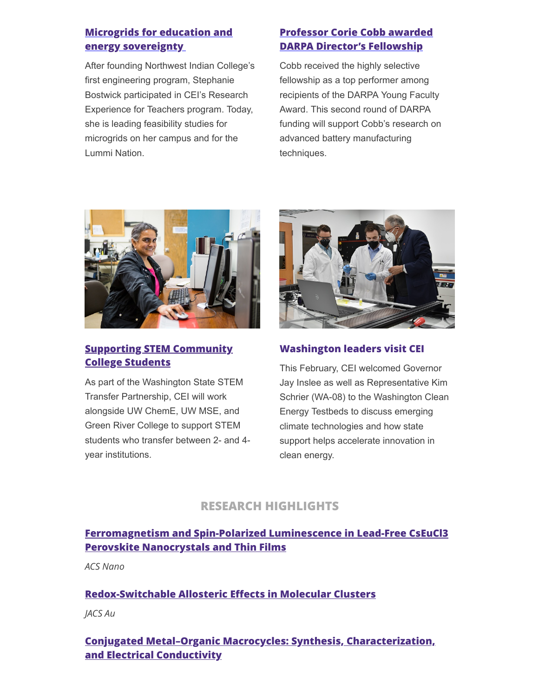# **[Microgrids for education and](http://discover.uw.edu/ol/hk9RccXPdlhd6BYlut2oDfu_yniVKMz84vEwRKa0gplpjQVuYOPLdQyi2YMDScBrI-SNBgsUTsAnxAVcR7DTb44dqrNYAkXvWzTtia_Jfa1bZvp22NQn6qGhhTNc-oTRwhrPAUoNS0J5aVvMMOl50W61dpU7SxGGpz2Hcw,,/j0FXecHMKVlNoVdlsbPWNb760TbFc9a_uq91APnhxsAwl016Z6PCMUL9h9RDFZYhKO-RE08VF4ViwRhRFe7YfY5Et_BTDlO1QXbsj7fffYhHdrpnxY4-8qOx53QKoYCvpnHUJXoockV1NB-wY4oBpRzAFJcBSw-owE_ZPI0KuTADgelRz8ahSbGyonuxuEXytDq7DkhazefP7mqUD8E-yuBZtm8o23gUevbDyBHy2JEAohM6ysdzoSZ9pdtqA-RR6wLEbh3W14nbaME6dqymg9vjlLACRE5kgtYgXjjFCFy0) energy sovereignty**

After founding Northwest Indian College's first engineering program, Stephanie Bostwick participated in CEI's Research Experience for Teachers program. Today, she is leading feasibility studies for microgrids on her campus and for the Lummi Nation.

# **[Professor Corie Cobb awarded](http://discover.uw.edu/ol/hk5ZdsPHdlhd6BYlut2oDfu_yniVKMz84vEwRKa0gplpjQVuYOPLdQyi2YMDScBrI-SNBgsUTsAnxAVcR7DTb44dqrNYAkXvWzTtia_Jfa1bZvp22NQn6qGhhTNc-oTRwhrPAUoNS0J5aVvPOO1z12S3dpU7SxGGpz2Hcw,,/jElTc8fGK1lNoVdlsbPWNb760TjFNI-pqLR0B_Dy3cFw3ExrPeLKL1KgicFFFZE-YKbMUVBCXsAwjV4MVeOabolFt_kQCE6wWnb-l6DIa4hKPLByztFgsqysymUGvtKQgRHKDEMCT2Z_bA-NNrIrkALzP5t-cjeq4lf0E7UXhXgRqLcx97OKWpez2Wes2n7y9DyEHXRl78XPv0XoBq1onY4Jrgwl3AgpSNrvxBzhlrgTgSVjob1A1RVB-s9aEs5-1Titaz7OwYTNTtdFRpmIgrHVpN4EVhUmxrUXTl3XCnyaW76BbTFI4DvBvR5oYjI9KBUMHc4plQ,,) DARPA Director's Fellowship**

Cobb received the highly selective fellowship as a top performer among recipients of the DARPA Young Faculty Award. This second round of DARPA funding will support Cobb's research on advanced battery manufacturing techniques.



# **[Supporting STEM Community](http://discover.uw.edu/ol/hk5YcsXKdlhd6BYlut2oDfu_yniVKMz84vEwRKa0gplpjQVuYOPLdQyi2YMDScBrI-SNBgsUTsAnxAVcR7DTb44dqrNYAkXvWzTtia_Jfa1bZvp22NQn6qGhhTNc-oTRwhrPAUoNS0J5aVvPOOx30mq3dpU7SxGGpz2Hcw,,/jElSd8LIK1lNoVdlsbPWNb760SLBaZChtbtpBvmo18srlkt9YOWAahG92pwBTt1iMaafDwwfBp5ixQFdFPTYc4YN7v1YRlKmXTaylLPbYZ5IdKY-zMBz66agynMNo82R31XCRFgPDWJ4ZRKYJuAtjynYJJ8oAi6z12PtAKERqDFYnJAO47OKXJSQ_FG0-Wv82C2HPnhY_MqfvgmlWJNemdFYt1Bp6WR-ctXM-hLu5Oghnw44rbgmukRm2PBBCPtv9iaiehH5yarzeulRabGeqvChm-UKQic8msgeQlviL3iUJt6sYDZiyAKk2x4TYWhndT5_X_sPlRc,) College Students**

As part of the Washington State STEM Transfer Partnership, CEI will work alongside UW ChemE, UW MSE, and Green River College to support STEM students who transfer between 2- and 4 year institutions.



## **Washington leaders visit CEI**

This February, CEI welcomed Governor Jay Inslee as well as Representative Kim Schrier (WA-08) to the Washington Clean Energy Testbeds to discuss emerging climate technologies and how state support helps accelerate innovation in clean energy.

# **RESEARCH HIGHLIGHTS**

# **[Ferromagnetism and Spin-Polarized Luminescence in Lead-Free CsEuCl3](http://discover.uw.edu/ol/hk5ZeMTPdlhd6BYlut2oDfu_yniVKMz84vEwRKa0gplpjQVuYOPLdQyi2YMDScBrI-SNBgsUTsAnxAVcR7DTb44dqrNYAkXvWzTtia_Jfa1bZvp22NQn6qGhhTNc-oTRwhrPAUoNS0J5aVvMP-521Gq2dpU7SxGGpz2Hcw,,/j05QdsTIKllNoVdlsbPWMrzvjHvBeYvmtK56RvPp24A_21sxI7yBaRG92ZxQH4E8ZOeRT1MTQ8kzlVsHF-uBQ5RP8ahwP2yqdA7ZspXDP5Rje4FS_eBG26-HzGwqkOmam1blLFcFRCU5fVKXXb0m3TX2fZEXBwyywGLmHKF3mB4ghuVQh6XzdJ24yFuS8lLzxxG7LnxY7_Sa1Xe4IKN4yPAZnGwd40FrTdnD0DPk5ZVxnT8v5tVmpVFE3awhKZpmxUWdfyPk) Perovskite Nanocrystals and Thin Films**

*ACS Nano*

#### **[Redox-Switchable Allosteric Effects in Molecular Clusters](http://discover.uw.edu/ol/hk5YdMDPdlhd6BYlut2oDfu_yniVKMz84vEwRKa0gplpjQVuYOPLdQyi2YMDScBrI-SNBgsUTsAnxAVcR7DTb44dqrNYAkXvWzTtia_Jfa1bZvp22NQn6qGhhTNc-oTRwhrPAUoNS0J5aVvMPOl40my2dpU7SxGGpz2Hcw,,/j01XeMLOKllNoVdlsbPWMrzvjHvBeYvmtK56RvPp24BviQYvIr6ed0vui8BQCdxjZrnOVVtBTJ1q1DNMFevIUbRt4tloLXOGQWvmravvTqxvVpB0_tVt0JKRwGkPg_iamViYXFZaSkVuYl-VePIhsGXoBao6eCqhrn_3HYR7yHk_3bQq2qGDT7SizliEwF7ryT67NW5W4O2h-A-bFLpHotwQ8nEd3WMgXsfftwHe1q8cuA523scn3hU8-NkkNOhv5w,,)**

*JACS Au*

# **[Conjugated Metal–Organic Macrocycles: Synthesis, Characterization,](http://discover.uw.edu/ol/hk5YeMLHdlhd6BYlut2oDfu_yniVKMz84vEwRKa0gplpjQVuYOPLdQyi2YMDScBrI-SNBgsUTsAnxAVcR7DTb44dqrNYAkXvWzTtia_Jfa1bZvp22NQn6qGhhTNc-oTRwhrPAUoNS0J5aVvMPOt41Wm-dpU7SxGGpz2Hcw,,/j01VeMXLIllNoVdlsbPWMrzvjHvBeYvmtK56RvPp24BviQYvIr6ed0vui8AfTZFjN7zHV10dGIRe1ANTR82hUZhsz9NvP1jiQRb1tYD7TqpqdpZn0O5by7Cs0kkgstaGxgnVXUU6Qnc1bBfQaIt4iwjdKbcKeVeDzFPCbdNyq3ABq7E3_qCsa4af30a62GHN2TSxH1VR3tPIzUSfIaBhipoxhnQX7nMBVLTC-iHU-60N5A0Qpb9-3hJKoOhTJ84,) and Electrical Conductivity**